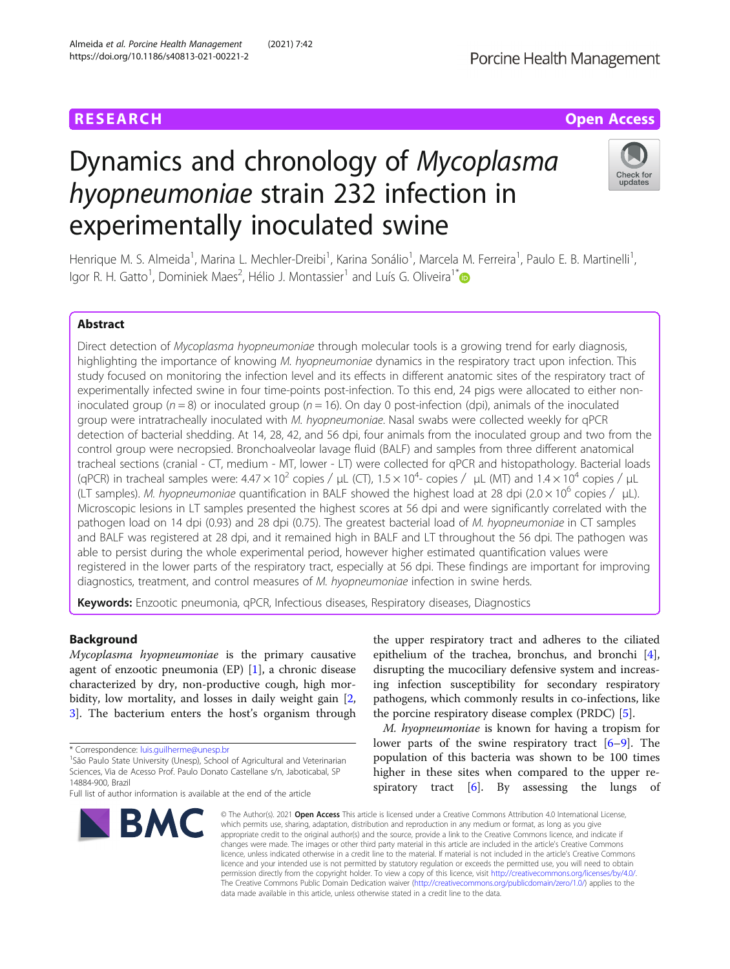# Dynamics and chronology of Mycoplasma hyopneumoniae strain 232 infection in experimentally inoculated swine



Henrique M. S. Almeida<sup>1</sup>, Marina L. Mechler-Dreibi<sup>1</sup>, Karina Sonálio<sup>1</sup>, Marcela M. Ferreira<sup>1</sup>, Paulo E. B. Martinelli<sup>1</sup> , lgor R. H. Gatto<sup>1</sup>, Dominiek Maes<sup>2</sup>, Hélio J. Montassier<sup>1</sup> and Luís G. Oliveira<sup>1\*</sup>

#### Abstract

Direct detection of Mycoplasma hyopneumoniae through molecular tools is a growing trend for early diagnosis, highlighting the importance of knowing M. hyopneumoniae dynamics in the respiratory tract upon infection. This study focused on monitoring the infection level and its effects in different anatomic sites of the respiratory tract of experimentally infected swine in four time-points post-infection. To this end, 24 pigs were allocated to either noninoculated group ( $n = 8$ ) or inoculated group ( $n = 16$ ). On day 0 post-infection (dpi), animals of the inoculated group were intratracheally inoculated with M. hyopneumoniae. Nasal swabs were collected weekly for qPCR detection of bacterial shedding. At 14, 28, 42, and 56 dpi, four animals from the inoculated group and two from the control group were necropsied. Bronchoalveolar lavage fluid (BALF) and samples from three different anatomical tracheal sections (cranial - CT, medium - MT, lower - LT) were collected for qPCR and histopathology. Bacterial loads (qPCR) in tracheal samples were:  $4.47 \times 10^2$  copies /  $\mu$ L (CT),  $1.5 \times 10^4$ - copies /  $\mu$ L (MT) and  $1.4 \times 10^4$  copies /  $\mu$ L (LT samples). M. hyopneumoniae quantification in BALF showed the highest load at 28 dpi (2.0 × 10<sup>6</sup> copies /  $\mu$ L). Microscopic lesions in LT samples presented the highest scores at 56 dpi and were significantly correlated with the pathogen load on 14 dpi (0.93) and 28 dpi (0.75). The greatest bacterial load of M. hyopneumoniae in CT samples and BALF was registered at 28 dpi, and it remained high in BALF and LT throughout the 56 dpi. The pathogen was able to persist during the whole experimental period, however higher estimated quantification values were registered in the lower parts of the respiratory tract, especially at 56 dpi. These findings are important for improving diagnostics, treatment, and control measures of M. hyopneumoniae infection in swine herds.

Keywords: Enzootic pneumonia, qPCR, Infectious diseases, Respiratory diseases, Diagnostics

#### Background

Mycoplasma hyopneumoniae is the primary causative agent of enzootic pneumonia (EP) [[1\]](#page-7-0), a chronic disease characterized by dry, non-productive cough, high mor-bidity, low mortality, and losses in daily weight gain [\[2](#page-7-0), [3\]](#page-7-0). The bacterium enters the host's organism through

<sup>1</sup>São Paulo State University (Unesp), School of Agricultural and Veterinarian Sciences, Via de Acesso Prof. Paulo Donato Castellane s/n, Jaboticabal, SP 14884-900, Brazil

Full list of author information is available at the end of the article



the upper respiratory tract and adheres to the ciliated epithelium of the trachea, bronchus, and bronchi [\[4](#page-7-0)], disrupting the mucociliary defensive system and increasing infection susceptibility for secondary respiratory pathogens, which commonly results in co-infections, like the porcine respiratory disease complex (PRDC) [\[5](#page-7-0)].

M. hyopneumoniae is known for having a tropism for lower parts of the swine respiratory tract [[6](#page-7-0)–[9\]](#page-7-0). The population of this bacteria was shown to be 100 times higher in these sites when compared to the upper respiratory tract  $[6]$  $[6]$ . By assessing the lungs of

© The Author(s). 2021 Open Access This article is licensed under a Creative Commons Attribution 4.0 International License, which permits use, sharing, adaptation, distribution and reproduction in any medium or format, as long as you give appropriate credit to the original author(s) and the source, provide a link to the Creative Commons licence, and indicate if changes were made. The images or other third party material in this article are included in the article's Creative Commons licence, unless indicated otherwise in a credit line to the material. If material is not included in the article's Creative Commons licence and your intended use is not permitted by statutory regulation or exceeds the permitted use, you will need to obtain permission directly from the copyright holder. To view a copy of this licence, visit [http://creativecommons.org/licenses/by/4.0/.](http://creativecommons.org/licenses/by/4.0/) The Creative Commons Public Domain Dedication waiver [\(http://creativecommons.org/publicdomain/zero/1.0/](http://creativecommons.org/publicdomain/zero/1.0/)) applies to the data made available in this article, unless otherwise stated in a credit line to the data.

<sup>\*</sup> Correspondence: [luis.guilherme@unesp.br](mailto:luis.guilherme@unesp.br) <sup>1</sup>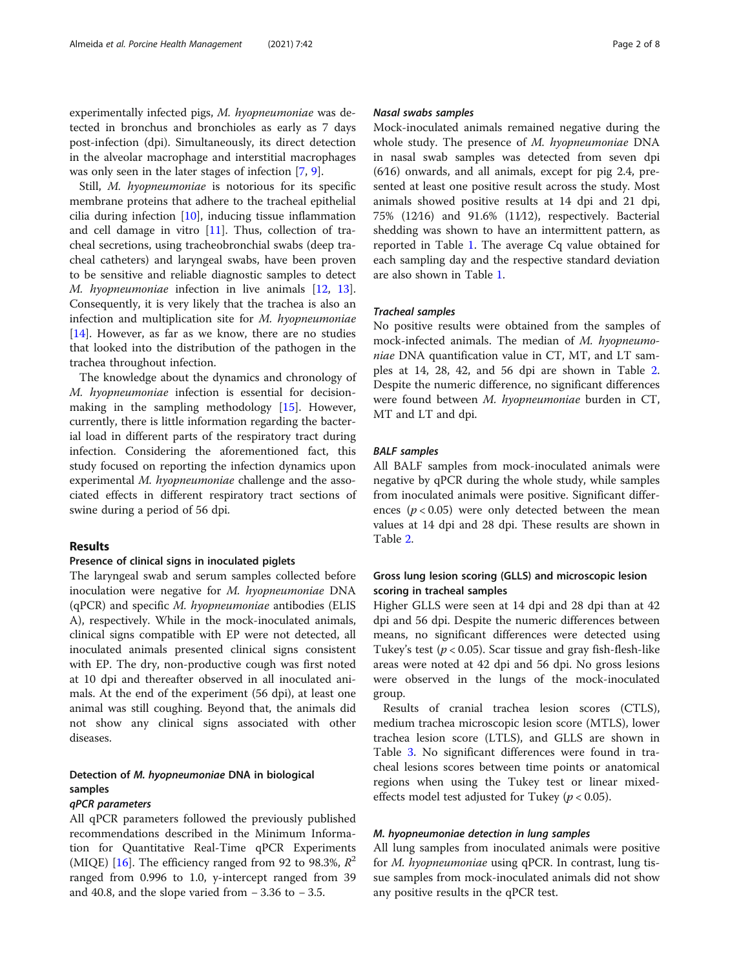experimentally infected pigs, M. hyopneumoniae was detected in bronchus and bronchioles as early as 7 days post-infection (dpi). Simultaneously, its direct detection in the alveolar macrophage and interstitial macrophages was only seen in the later stages of infection [[7,](#page-7-0) [9\]](#page-7-0).

Still, M. hyopneumoniae is notorious for its specific membrane proteins that adhere to the tracheal epithelial cilia during infection [[10](#page-7-0)], inducing tissue inflammation and cell damage in vitro  $[11]$  $[11]$ . Thus, collection of tracheal secretions, using tracheobronchial swabs (deep tracheal catheters) and laryngeal swabs, have been proven to be sensitive and reliable diagnostic samples to detect M. hyopneumoniae infection in live animals [[12,](#page-7-0) [13](#page-7-0)]. Consequently, it is very likely that the trachea is also an infection and multiplication site for M. hyopneumoniae [[14\]](#page-7-0). However, as far as we know, there are no studies that looked into the distribution of the pathogen in the trachea throughout infection.

The knowledge about the dynamics and chronology of M. hyopneumoniae infection is essential for decisionmaking in the sampling methodology [[15\]](#page-7-0). However, currently, there is little information regarding the bacterial load in different parts of the respiratory tract during infection. Considering the aforementioned fact, this study focused on reporting the infection dynamics upon experimental M. hyopneumoniae challenge and the associated effects in different respiratory tract sections of swine during a period of 56 dpi.

#### Results

#### Presence of clinical signs in inoculated piglets

The laryngeal swab and serum samples collected before inoculation were negative for M. hyopneumoniae DNA  $(qPCR)$  and specific M. hyopneumoniae antibodies (ELIS A), respectively. While in the mock-inoculated animals, clinical signs compatible with EP were not detected, all inoculated animals presented clinical signs consistent with EP. The dry, non-productive cough was first noted at 10 dpi and thereafter observed in all inoculated animals. At the end of the experiment (56 dpi), at least one animal was still coughing. Beyond that, the animals did not show any clinical signs associated with other diseases.

### Detection of M. hyopneumoniae DNA in biological samples

#### qPCR parameters

All qPCR parameters followed the previously published recommendations described in the Minimum Information for Quantitative Real-Time qPCR Experiments (MIQE) [[16\]](#page-7-0). The efficiency ranged from 92 to 98.3%,  $R^2$ ranged from 0.996 to 1.0, y-intercept ranged from 39 and 40.8, and the slope varied from  $-3.36$  to  $-3.5$ .

#### Nasal swabs samples

Mock-inoculated animals remained negative during the whole study. The presence of M. hyopneumoniae DNA in nasal swab samples was detected from seven dpi (6∕16) onwards, and all animals, except for pig 2.4, presented at least one positive result across the study. Most animals showed positive results at 14 dpi and 21 dpi, 75% (12∕16) and 91.6% (11∕12), respectively. Bacterial shedding was shown to have an intermittent pattern, as reported in Table [1.](#page-2-0) The average Cq value obtained for each sampling day and the respective standard deviation are also shown in Table [1](#page-2-0).

#### Tracheal samples

No positive results were obtained from the samples of mock-infected animals. The median of M. hyopneumoniae DNA quantification value in CT, MT, and LT samples at 14, 28, 42, and 56 dpi are shown in Table [2](#page-2-0). Despite the numeric difference, no significant differences were found between M. hyopneumoniae burden in CT, MT and LT and dpi.

#### BALF samples

All BALF samples from mock-inoculated animals were negative by qPCR during the whole study, while samples from inoculated animals were positive. Significant differences ( $p < 0.05$ ) were only detected between the mean values at 14 dpi and 28 dpi. These results are shown in Table [2.](#page-2-0)

#### Gross lung lesion scoring (GLLS) and microscopic lesion scoring in tracheal samples

Higher GLLS were seen at 14 dpi and 28 dpi than at 42 dpi and 56 dpi. Despite the numeric differences between means, no significant differences were detected using Tukey's test ( $p < 0.05$ ). Scar tissue and gray fish-flesh-like areas were noted at 42 dpi and 56 dpi. No gross lesions were observed in the lungs of the mock-inoculated group.

Results of cranial trachea lesion scores (CTLS), medium trachea microscopic lesion score (MTLS), lower trachea lesion score (LTLS), and GLLS are shown in Table [3.](#page-3-0) No significant differences were found in tracheal lesions scores between time points or anatomical regions when using the Tukey test or linear mixedeffects model test adjusted for Tukey ( $p < 0.05$ ).

#### M. hyopneumoniae detection in lung samples

All lung samples from inoculated animals were positive for *M. hyopneumoniae* using qPCR. In contrast, lung tissue samples from mock-inoculated animals did not show any positive results in the qPCR test.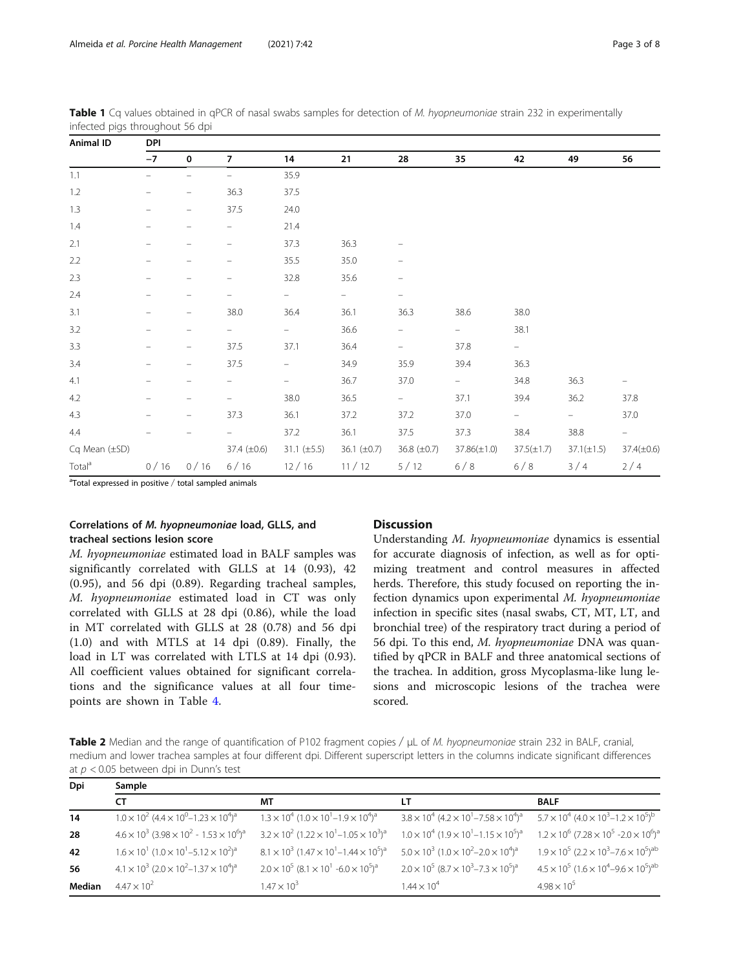<span id="page-2-0"></span>Almeida et al. Porcine Health Management (2021) 7:42 Page 3 of 8

| <b>Animal ID</b>   | <b>DPI</b> |                          |                          |                          |                  |                  |                          |                          |                          |                   |  |  |  |  |
|--------------------|------------|--------------------------|--------------------------|--------------------------|------------------|------------------|--------------------------|--------------------------|--------------------------|-------------------|--|--|--|--|
|                    | $-7$       | $\bf{0}$                 | $\overline{7}$           | 14                       | 21               | 28               | 35                       | 42                       | 49                       | 56                |  |  |  |  |
| 1.1                |            |                          |                          | 35.9                     |                  |                  |                          |                          |                          |                   |  |  |  |  |
| 1.2                |            | $\overline{\phantom{0}}$ | 36.3                     | 37.5                     |                  |                  |                          |                          |                          |                   |  |  |  |  |
| $1.3\,$            |            | -                        | 37.5                     | 24.0                     |                  |                  |                          |                          |                          |                   |  |  |  |  |
| $1.4\,$            |            |                          | $\overline{\phantom{0}}$ | 21.4                     |                  |                  |                          |                          |                          |                   |  |  |  |  |
| 2.1                |            |                          |                          | 37.3                     | 36.3             |                  |                          |                          |                          |                   |  |  |  |  |
| $2.2\,$            |            |                          |                          | 35.5                     | 35.0             |                  |                          |                          |                          |                   |  |  |  |  |
| 2.3                | -          |                          | -                        | 32.8                     | 35.6             | -                |                          |                          |                          |                   |  |  |  |  |
| 2.4                |            |                          |                          | $=$                      | -                |                  |                          |                          |                          |                   |  |  |  |  |
| 3.1                |            | -                        | 38.0                     | 36.4                     | 36.1             | 36.3             | 38.6                     | 38.0                     |                          |                   |  |  |  |  |
| $3.2\,$            |            |                          |                          | -                        | 36.6             | -                | $\overline{\phantom{a}}$ | 38.1                     |                          |                   |  |  |  |  |
| 3.3                |            | $\qquad \qquad$          | 37.5                     | 37.1                     | 36.4             | -                | 37.8                     | $\hspace{1.0cm} -$       |                          |                   |  |  |  |  |
| 3.4                | -          | -                        | 37.5                     | $\overline{\phantom{m}}$ | 34.9             | 35.9             | 39.4                     | 36.3                     |                          |                   |  |  |  |  |
| 4.1                |            |                          |                          | -                        | 36.7             | 37.0             | $\qquad \qquad -$        | 34.8                     | 36.3                     |                   |  |  |  |  |
| $4.2\,$            |            |                          |                          | 38.0                     | 36.5             | $\frac{1}{2}$    | 37.1                     | 39.4                     | 36.2                     | 37.8              |  |  |  |  |
| 4.3                |            | $\overline{\phantom{0}}$ | 37.3                     | 36.1                     | 37.2             | 37.2             | 37.0                     | $\overline{\phantom{0}}$ | $\overline{\phantom{0}}$ | 37.0              |  |  |  |  |
| 4.4                |            |                          |                          | 37.2                     | 36.1             | 37.5             | 37.3                     | 38.4                     | $38.8\,$                 | $\qquad \qquad =$ |  |  |  |  |
| Cq Mean $(\pm SD)$ |            |                          | 37.4 (±0.6)              | $31.1 (\pm 5.5)$         | 36.1 $(\pm 0.7)$ | 36.8 $(\pm 0.7)$ | $37.86(\pm 1.0)$         | $37.5(\pm 1.7)$          | $37.1(\pm 1.5)$          | $37.4(\pm 0.6)$   |  |  |  |  |
| Total <sup>a</sup> | 0/16       | 0/16                     | 6/16                     | 12/16                    | 11/12            | 5/12             | 6/8                      | 6/8                      | 3/4                      | 2/4               |  |  |  |  |

Table 1 Cq values obtained in qPCR of nasal swabs samples for detection of M. hyopneumoniae strain 232 in experimentally infected pigs throughout 56 dpi

<sup>a</sup>Total expressed in positive / total sampled animals

#### Correlations of M. hyopneumoniae load, GLLS, and tracheal sections lesion score

M. hyopneumoniae estimated load in BALF samples was significantly correlated with GLLS at 14 (0.93), 42 (0.95), and 56 dpi (0.89). Regarding tracheal samples, M. hyopneumoniae estimated load in CT was only correlated with GLLS at 28 dpi (0.86), while the load in MT correlated with GLLS at 28 (0.78) and 56 dpi (1.0) and with MTLS at 14 dpi (0.89). Finally, the load in LT was correlated with LTLS at 14 dpi (0.93). All coefficient values obtained for significant correlations and the significance values at all four timepoints are shown in Table [4](#page-3-0).

#### **Discussion**

Understanding M. hyopneumoniae dynamics is essential for accurate diagnosis of infection, as well as for optimizing treatment and control measures in affected herds. Therefore, this study focused on reporting the infection dynamics upon experimental M. hyopneumoniae infection in specific sites (nasal swabs, CT, MT, LT, and bronchial tree) of the respiratory tract during a period of 56 dpi. To this end, M. hyopneumoniae DNA was quantified by qPCR in BALF and three anatomical sections of the trachea. In addition, gross Mycoplasma-like lung lesions and microscopic lesions of the trachea were scored.

Table 2 Median and the range of quantification of P102 fragment copies / μL of M. hyopneumoniae strain 232 in BALF, cranial, medium and lower trachea samples at four different dpi. Different superscript letters in the columns indicate significant differences at  $p < 0.05$  between dpi in Dunn's test

| Dpi    | Sample                                                                                        |                                                                                 |                                                                                               |                                                                                               |  |  |  |  |  |  |  |  |  |
|--------|-----------------------------------------------------------------------------------------------|---------------------------------------------------------------------------------|-----------------------------------------------------------------------------------------------|-----------------------------------------------------------------------------------------------|--|--|--|--|--|--|--|--|--|
|        | <b>CT</b>                                                                                     | МT                                                                              | LТ                                                                                            | <b>BALF</b>                                                                                   |  |  |  |  |  |  |  |  |  |
| 14     | $1.0 \times 10^{2}$ (4.4 $\times 10^{0}$ – 1.23 $\times 10^{4}$ ) <sup>a</sup>                | $1.3 \times 10^4$ $(1.0 \times 10^1 - 1.9 \times 10^4)^a$                       | $3.8 \times 10^4$ (4.2 $\times 10^1$ – 7.58 $\times 10^4$ ) <sup>a</sup>                      | $5.7 \times 10^4$ (4.0 $\times 10^3$ – 1.2 $\times 10^5$ ) <sup>b</sup>                       |  |  |  |  |  |  |  |  |  |
| 28     | $4.6 \times 10^3$ (3.98 $\times 10^2$ - 1.53 $\times 10^6$ ) <sup>a</sup>                     | $3.2 \times 10^{2}$ (1.22 $\times 10^{1}$ – 1.05 $\times 10^{3}$ ) <sup>a</sup> | $1.0 \times 10^4$ (1.9 $\times$ 10 <sup>1</sup> –1.15 $\times$ 10 <sup>5</sup> ) <sup>a</sup> | $1.2 \times 10^6$ (7.28 $\times$ 10 <sup>5</sup> -2.0 $\times$ 10 <sup>6</sup> ) <sup>a</sup> |  |  |  |  |  |  |  |  |  |
| 42     | $1.6 \times 10^{1}$ (1.0 $\times 10^{1}$ – 5.12 $\times 10^{2}$ ) <sup>a</sup>                | $8.1 \times 10^3$ (1.47 $\times 10^1$ – 1.44 $\times 10^5$ ) <sup>a</sup>       | $5.0 \times 10^3$ (1.0 $\times 10^2$ –2.0 $\times 10^4$ ) <sup>a</sup>                        | $1.9 \times 10^5$ (2.2 $\times 10^3$ –7.6 $\times 10^5$ ) <sup>ab</sup>                       |  |  |  |  |  |  |  |  |  |
| 56     | $4.1 \times 10^3$ (2.0 $\times$ 10 <sup>2</sup> –1.37 $\times$ 10 <sup>4</sup> ) <sup>a</sup> | $2.0 \times 10^5 (8.1 \times 10^1 - 6.0 \times 10^5)^a$                         | $2.0 \times 10^5$ (8.7 $\times$ 10 <sup>3</sup> – 7.3 $\times$ 10 <sup>5</sup> ) <sup>a</sup> | $4.5 \times 10^5$ (1.6 $\times 10^4$ –9.6 $\times 10^5$ ) <sup>ab</sup>                       |  |  |  |  |  |  |  |  |  |
| Median | $4.47 \times 10^{2}$                                                                          | $1.47 \times 10^{3}$                                                            | $1.44 \times 10^4$                                                                            | $4.98 \times 10^{5}$                                                                          |  |  |  |  |  |  |  |  |  |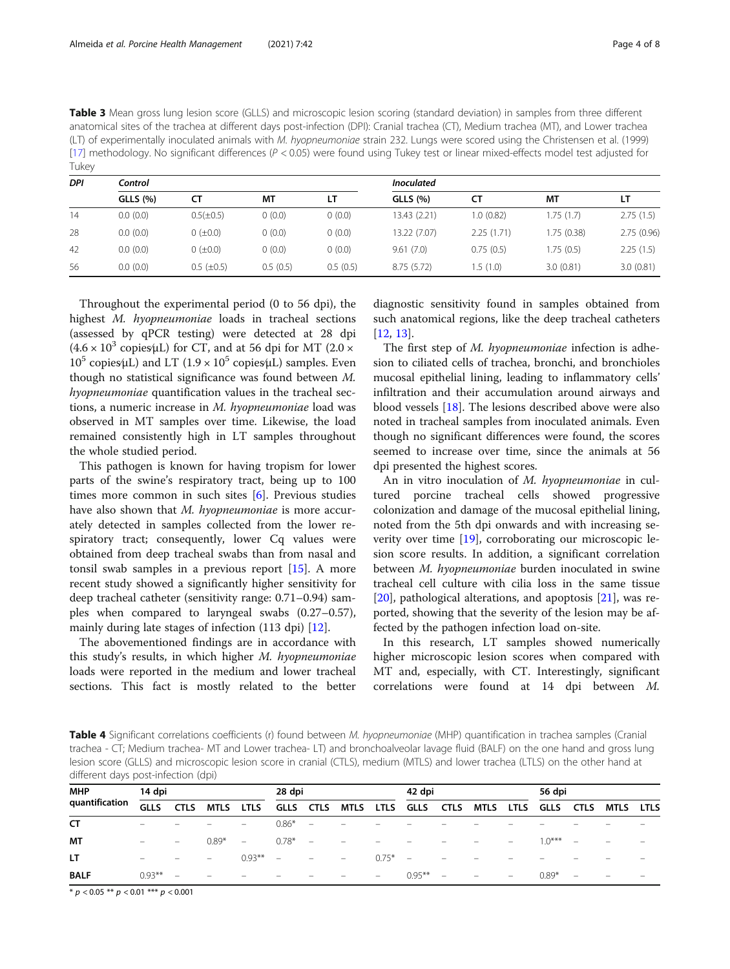<span id="page-3-0"></span>

| Table 3 Mean gross lung lesion score (GLLS) and microscopic lesion scoring (standard deviation) in samples from three different          |
|------------------------------------------------------------------------------------------------------------------------------------------|
| anatomical sites of the trachea at different days post-infection (DPI): Cranial trachea (CT), Medium trachea (MT), and Lower trachea     |
| (LT) of experimentally inoculated animals with <i>M. hyopneumoniae</i> strain 232. Lungs were scored using the Christensen et al. (1999) |
| [17] methodology. No significant differences ( $P < 0.05$ ) were found using Tukey test or linear mixed-effects model test adjusted for  |
| Tukey                                                                                                                                    |

| <b>DPI</b> | Control         |                     |          |          | <b>Inoculated</b> |            |             |            |  |  |  |  |  |
|------------|-----------------|---------------------|----------|----------|-------------------|------------|-------------|------------|--|--|--|--|--|
|            | <b>GLLS (%)</b> | СT                  | МT       | LΤ       | <b>GLLS</b> (%)   | СT         | МT          | LТ         |  |  |  |  |  |
| 14         | 0.0(0.0)        | $0.5(\pm 0.5)$      | 0(0.0)   | (0.0)    | 13.43 (2.21)      | 1.0(0.82)  | 1.75(1.7)   | 2.75(1.5)  |  |  |  |  |  |
| 28         | 0.0(0.0)        | $0 \ (\pm 0.0)$     | 0(0.0)   | (0.0)    | 13.22 (7.07)      | 2.25(1.71) | 1.75 (0.38) | 2.75(0.96) |  |  |  |  |  |
| 42         | 0.0(0.0)        | $0 \ (\pm 0.0)$     | (0.0)    | (0.0)    | 9.61(7.0)         | 0.75(0.5)  | 1.75(0.5)   | 2.25(1.5)  |  |  |  |  |  |
| 56         | 0.0(0.0)        | $0.5$ ( $\pm 0.5$ ) | 0.5(0.5) | 0.5(0.5) | 8.75(5.72)        | 1.5 (1.0)  | 3.0(0.81)   | 3.0(0.81)  |  |  |  |  |  |

Throughout the experimental period (0 to 56 dpi), the highest M. hyopneumoniae loads in tracheal sections (assessed by qPCR testing) were detected at 28 dpi  $(4.6 \times 10^3 \text{ copies/L})$  for CT, and at 56 dpi for MT (2.0  $\times$  $10^5$  copies⁄μL) and LT (1.9 × 10<sup>5</sup> copies⁄μL) samples. Even though no statistical significance was found between M. hyopneumoniae quantification values in the tracheal sections, a numeric increase in M. hyopneumoniae load was observed in MT samples over time. Likewise, the load remained consistently high in LT samples throughout the whole studied period.

This pathogen is known for having tropism for lower parts of the swine's respiratory tract, being up to 100 times more common in such sites [[6\]](#page-7-0). Previous studies have also shown that *M. hyopneumoniae* is more accurately detected in samples collected from the lower respiratory tract; consequently, lower Cq values were obtained from deep tracheal swabs than from nasal and tonsil swab samples in a previous report [\[15](#page-7-0)]. A more recent study showed a significantly higher sensitivity for deep tracheal catheter (sensitivity range: 0.71–0.94) samples when compared to laryngeal swabs (0.27–0.57), mainly during late stages of infection (113 dpi) [\[12](#page-7-0)].

The abovementioned findings are in accordance with this study's results, in which higher M. hyopneumoniae loads were reported in the medium and lower tracheal sections. This fact is mostly related to the better

diagnostic sensitivity found in samples obtained from such anatomical regions, like the deep tracheal catheters [[12,](#page-7-0) [13\]](#page-7-0).

The first step of M. hyopneumoniae infection is adhesion to ciliated cells of trachea, bronchi, and bronchioles mucosal epithelial lining, leading to inflammatory cells' infiltration and their accumulation around airways and blood vessels [\[18](#page-7-0)]. The lesions described above were also noted in tracheal samples from inoculated animals. Even though no significant differences were found, the scores seemed to increase over time, since the animals at 56 dpi presented the highest scores.

An in vitro inoculation of M. hyopneumoniae in cultured porcine tracheal cells showed progressive colonization and damage of the mucosal epithelial lining, noted from the 5th dpi onwards and with increasing severity over time [\[19\]](#page-7-0), corroborating our microscopic lesion score results. In addition, a significant correlation between M. hyopneumoniae burden inoculated in swine tracheal cell culture with cilia loss in the same tissue [[20\]](#page-7-0), pathological alterations, and apoptosis [\[21](#page-7-0)], was reported, showing that the severity of the lesion may be affected by the pathogen infection load on-site.

In this research, LT samples showed numerically higher microscopic lesion scores when compared with MT and, especially, with CT. Interestingly, significant correlations were found at 14 dpi between M.

Table 4 Significant correlations coefficients (r) found between M. hyopneumoniae (MHP) quantification in trachea samples (Cranial trachea - CT; Medium trachea- MT and Lower trachea- LT) and bronchoalveolar lavage fluid (BALF) on the one hand and gross lung lesion score (GLLS) and microscopic lesion score in cranial (CTLS), medium (MTLS) and lower trachea (LTLS) on the other hand at different days post-infection (dpi)

| <b>MHP</b>     | 14 dpi                   |                          |                          |                          | 28 dpi                   |                                 |                                   | 42 dpi                   |                     |                          |                          | 56 dpi                   |           |                          |           |                          |
|----------------|--------------------------|--------------------------|--------------------------|--------------------------|--------------------------|---------------------------------|-----------------------------------|--------------------------|---------------------|--------------------------|--------------------------|--------------------------|-----------|--------------------------|-----------|--------------------------|
| quantification | <b>GLLS</b>              | <b>CTLS</b>              | <b>MTLS</b>              | <b>LTLS</b>              | <b>GLLS</b>              | CTLS                            |                                   |                          | MTLS LTLS GLLS CTLS |                          | MTLS                     | LTLS                     | GLLS CTLS |                          | MTLS LTLS |                          |
| CT             |                          |                          |                          | $-$                      | $0.86*$                  | $\sim$ $-$                      | $\equiv$                          |                          |                     |                          |                          |                          |           |                          |           |                          |
| <b>MT</b>      |                          | $\overline{\phantom{a}}$ | $0.89*$                  | $\sim$                   | $0.78*$                  | $\sim$                          | $\qquad \qquad =$                 |                          |                     |                          |                          |                          | $10***$   | $\overline{\phantom{a}}$ |           |                          |
| LT.            | $\overline{\phantom{0}}$ | $\overline{\phantom{m}}$ | $\hspace{0.1mm}$         | $0.93***$ $-$            |                          | $\overline{\phantom{a}}$        | <b>Contract Contract Contract</b> | $0.75* -$                |                     | $\overline{\phantom{a}}$ | $\qquad \qquad =$        | $\overline{\phantom{a}}$ |           |                          |           |                          |
| <b>BALF</b>    | $0.93***$                | $\overline{\phantom{a}}$ | $\overline{\phantom{a}}$ | $\overline{\phantom{0}}$ | $\overline{\phantom{m}}$ | $\hspace{0.1mm}-\hspace{0.1mm}$ | $\qquad \qquad -$                 | $\overline{\phantom{a}}$ | $0.95***$           | $\qquad \qquad -$        | $\overline{\phantom{m}}$ | $\qquad \qquad -$        | $0.89*$   | $\overline{\phantom{m}}$ |           | $\overline{\phantom{0}}$ |

 $* p < 0.05 ** p < 0.01*** p < 0.001$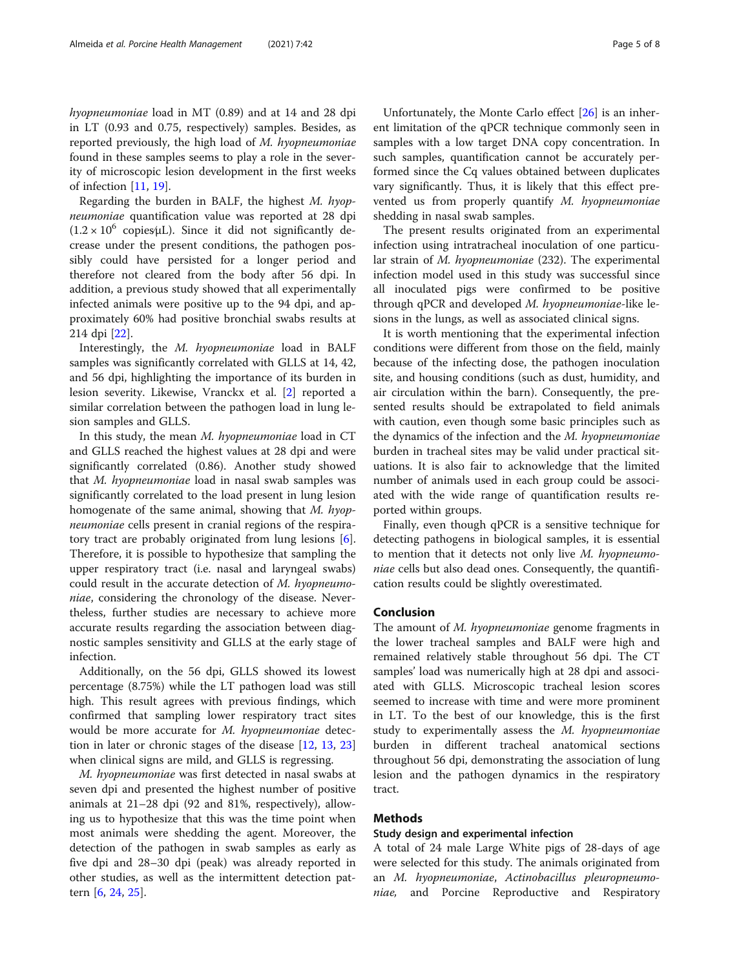hyopneumoniae load in MT (0.89) and at 14 and 28 dpi in LT (0.93 and 0.75, respectively) samples. Besides, as reported previously, the high load of M. hyopneumoniae found in these samples seems to play a role in the severity of microscopic lesion development in the first weeks of infection [[11](#page-7-0), [19](#page-7-0)].

Regarding the burden in BALF, the highest  $M.$  hyopneumoniae quantification value was reported at 28 dpi  $(1.2 \times 10^6 \text{ copies/µL})$ . Since it did not significantly decrease under the present conditions, the pathogen possibly could have persisted for a longer period and therefore not cleared from the body after 56 dpi. In addition, a previous study showed that all experimentally infected animals were positive up to the 94 dpi, and approximately 60% had positive bronchial swabs results at 214 dpi [\[22](#page-7-0)].

Interestingly, the M. hyopneumoniae load in BALF samples was significantly correlated with GLLS at 14, 42, and 56 dpi, highlighting the importance of its burden in lesion severity. Likewise, Vranckx et al. [[2\]](#page-7-0) reported a similar correlation between the pathogen load in lung lesion samples and GLLS.

In this study, the mean M. hyopneumoniae load in CT and GLLS reached the highest values at 28 dpi and were significantly correlated (0.86). Another study showed that M. hyopneumoniae load in nasal swab samples was significantly correlated to the load present in lung lesion homogenate of the same animal, showing that M. hyopneumoniae cells present in cranial regions of the respiratory tract are probably originated from lung lesions [\[6](#page-7-0)]. Therefore, it is possible to hypothesize that sampling the upper respiratory tract (i.e. nasal and laryngeal swabs) could result in the accurate detection of M. hyopneumoniae, considering the chronology of the disease. Nevertheless, further studies are necessary to achieve more accurate results regarding the association between diagnostic samples sensitivity and GLLS at the early stage of infection.

Additionally, on the 56 dpi, GLLS showed its lowest percentage (8.75%) while the LT pathogen load was still high. This result agrees with previous findings, which confirmed that sampling lower respiratory tract sites would be more accurate for M. hyopneumoniae detection in later or chronic stages of the disease [[12,](#page-7-0) [13,](#page-7-0) [23](#page-7-0)] when clinical signs are mild, and GLLS is regressing.

M. hyopneumoniae was first detected in nasal swabs at seven dpi and presented the highest number of positive animals at 21–28 dpi (92 and 81%, respectively), allowing us to hypothesize that this was the time point when most animals were shedding the agent. Moreover, the detection of the pathogen in swab samples as early as five dpi and 28–30 dpi (peak) was already reported in other studies, as well as the intermittent detection pattern [\[6](#page-7-0), [24](#page-7-0), [25](#page-7-0)].

Unfortunately, the Monte Carlo effect [\[26](#page-7-0)] is an inherent limitation of the qPCR technique commonly seen in samples with a low target DNA copy concentration. In such samples, quantification cannot be accurately performed since the Cq values obtained between duplicates vary significantly. Thus, it is likely that this effect prevented us from properly quantify M. hyopneumoniae shedding in nasal swab samples.

The present results originated from an experimental infection using intratracheal inoculation of one particular strain of M. hyopneumoniae (232). The experimental infection model used in this study was successful since all inoculated pigs were confirmed to be positive through qPCR and developed M. hyopneumoniae-like lesions in the lungs, as well as associated clinical signs.

It is worth mentioning that the experimental infection conditions were different from those on the field, mainly because of the infecting dose, the pathogen inoculation site, and housing conditions (such as dust, humidity, and air circulation within the barn). Consequently, the presented results should be extrapolated to field animals with caution, even though some basic principles such as the dynamics of the infection and the M. hyopneumoniae burden in tracheal sites may be valid under practical situations. It is also fair to acknowledge that the limited number of animals used in each group could be associated with the wide range of quantification results reported within groups.

Finally, even though qPCR is a sensitive technique for detecting pathogens in biological samples, it is essential to mention that it detects not only live M. hyopneumoniae cells but also dead ones. Consequently, the quantification results could be slightly overestimated.

#### Conclusion

The amount of M. hyopneumoniae genome fragments in the lower tracheal samples and BALF were high and remained relatively stable throughout 56 dpi. The CT samples' load was numerically high at 28 dpi and associated with GLLS. Microscopic tracheal lesion scores seemed to increase with time and were more prominent in LT. To the best of our knowledge, this is the first study to experimentally assess the M. hyopneumoniae burden in different tracheal anatomical sections throughout 56 dpi, demonstrating the association of lung lesion and the pathogen dynamics in the respiratory tract.

#### Methods

#### Study design and experimental infection

A total of 24 male Large White pigs of 28-days of age were selected for this study. The animals originated from an M. hyopneumoniae, Actinobacillus pleuropneumoniae, and Porcine Reproductive and Respiratory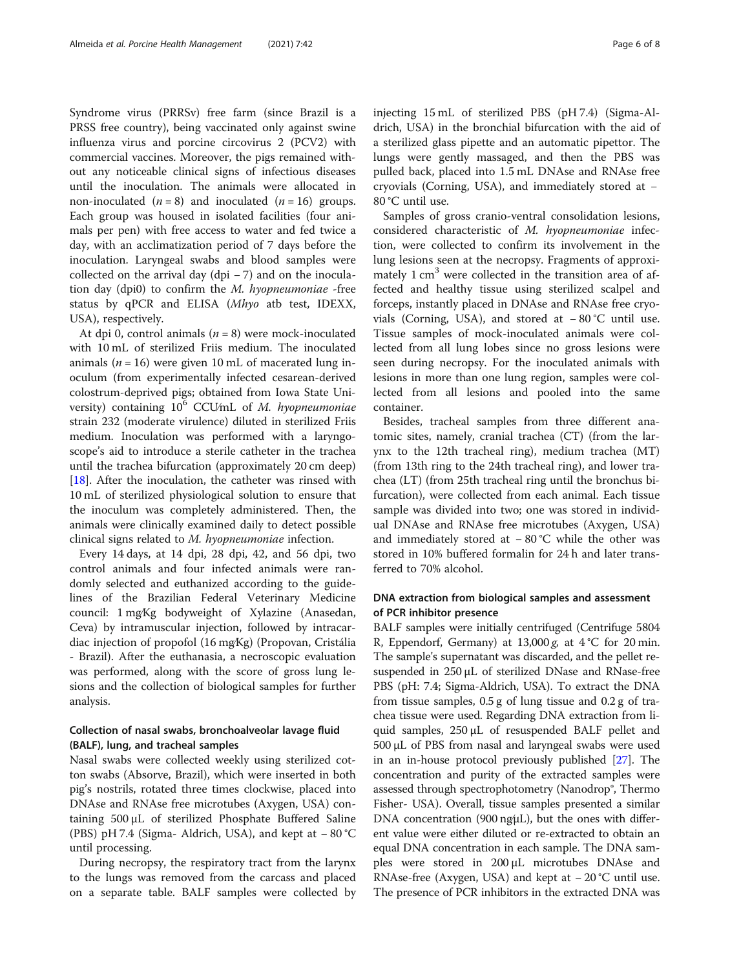Syndrome virus (PRRSv) free farm (since Brazil is a PRSS free country), being vaccinated only against swine influenza virus and porcine circovirus 2 (PCV2) with commercial vaccines. Moreover, the pigs remained without any noticeable clinical signs of infectious diseases until the inoculation. The animals were allocated in non-inoculated  $(n = 8)$  and inoculated  $(n = 16)$  groups. Each group was housed in isolated facilities (four animals per pen) with free access to water and fed twice a day, with an acclimatization period of 7 days before the inoculation. Laryngeal swabs and blood samples were collected on the arrival day (dpi − 7) and on the inoculation day (dpi0) to confirm the M. hyopneumoniae -free status by qPCR and ELISA (Mhyo atb test, IDEXX, USA), respectively.

At dpi 0, control animals  $(n = 8)$  were mock-inoculated with 10 mL of sterilized Friis medium. The inoculated animals ( $n = 16$ ) were given 10 mL of macerated lung inoculum (from experimentally infected cesarean-derived colostrum-deprived pigs; obtained from Iowa State University) containing  $10^6$  CCU/mL of M. hyopneumoniae strain 232 (moderate virulence) diluted in sterilized Friis medium. Inoculation was performed with a laryngoscope's aid to introduce a sterile catheter in the trachea until the trachea bifurcation (approximately 20 cm deep) [[18\]](#page-7-0). After the inoculation, the catheter was rinsed with 10 mL of sterilized physiological solution to ensure that the inoculum was completely administered. Then, the animals were clinically examined daily to detect possible clinical signs related to M. hyopneumoniae infection.

Every 14 days, at 14 dpi, 28 dpi, 42, and 56 dpi, two control animals and four infected animals were randomly selected and euthanized according to the guidelines of the Brazilian Federal Veterinary Medicine council: 1 mg∕Kg bodyweight of Xylazine (Anasedan, Ceva) by intramuscular injection, followed by intracardiac injection of propofol (16 mg∕Kg) (Propovan, Cristália - Brazil). After the euthanasia, a necroscopic evaluation was performed, along with the score of gross lung lesions and the collection of biological samples for further analysis.

#### Collection of nasal swabs, bronchoalveolar lavage fluid (BALF), lung, and tracheal samples

Nasal swabs were collected weekly using sterilized cotton swabs (Absorve, Brazil), which were inserted in both pig's nostrils, rotated three times clockwise, placed into DNAse and RNAse free microtubes (Axygen, USA) containing 500 μL of sterilized Phosphate Buffered Saline (PBS) pH 7.4 (Sigma- Aldrich, USA), and kept at − 80 °C until processing.

During necropsy, the respiratory tract from the larynx to the lungs was removed from the carcass and placed on a separate table. BALF samples were collected by injecting 15 mL of sterilized PBS (pH 7.4) (Sigma-Aldrich, USA) in the bronchial bifurcation with the aid of a sterilized glass pipette and an automatic pipettor. The lungs were gently massaged, and then the PBS was pulled back, placed into 1.5 mL DNAse and RNAse free cryovials (Corning, USA), and immediately stored at − 80 °C until use.

Samples of gross cranio-ventral consolidation lesions, considered characteristic of M. hyopneumoniae infection, were collected to confirm its involvement in the lung lesions seen at the necropsy. Fragments of approximately 1 cm<sup>3</sup> were collected in the transition area of affected and healthy tissue using sterilized scalpel and forceps, instantly placed in DNAse and RNAse free cryovials (Corning, USA), and stored at − 80 °C until use. Tissue samples of mock-inoculated animals were collected from all lung lobes since no gross lesions were seen during necropsy. For the inoculated animals with lesions in more than one lung region, samples were collected from all lesions and pooled into the same container.

Besides, tracheal samples from three different anatomic sites, namely, cranial trachea (CT) (from the larynx to the 12th tracheal ring), medium trachea (MT) (from 13th ring to the 24th tracheal ring), and lower trachea (LT) (from 25th tracheal ring until the bronchus bifurcation), were collected from each animal. Each tissue sample was divided into two; one was stored in individual DNAse and RNAse free microtubes (Axygen, USA) and immediately stored at − 80 °C while the other was stored in 10% buffered formalin for 24 h and later transferred to 70% alcohol.

#### DNA extraction from biological samples and assessment of PCR inhibitor presence

BALF samples were initially centrifuged (Centrifuge 5804 R, Eppendorf, Germany) at  $13,000 \text{ g}$ , at  $4^{\circ}$ C for 20 min. The sample's supernatant was discarded, and the pellet resuspended in 250 μL of sterilized DNase and RNase-free PBS (pH: 7.4; Sigma-Aldrich, USA). To extract the DNA from tissue samples, 0.5 g of lung tissue and 0.2 g of trachea tissue were used. Regarding DNA extraction from liquid samples, 250 μL of resuspended BALF pellet and 500 μL of PBS from nasal and laryngeal swabs were used in an in-house protocol previously published [[27](#page-7-0)]. The concentration and purity of the extracted samples were assessed through spectrophotometry (Nanodrop®, Thermo Fisher- USA). Overall, tissue samples presented a similar DNA concentration (900 ng $\mu$ L), but the ones with different value were either diluted or re-extracted to obtain an equal DNA concentration in each sample. The DNA samples were stored in 200 μL microtubes DNAse and RNAse-free (Axygen, USA) and kept at − 20 °C until use. The presence of PCR inhibitors in the extracted DNA was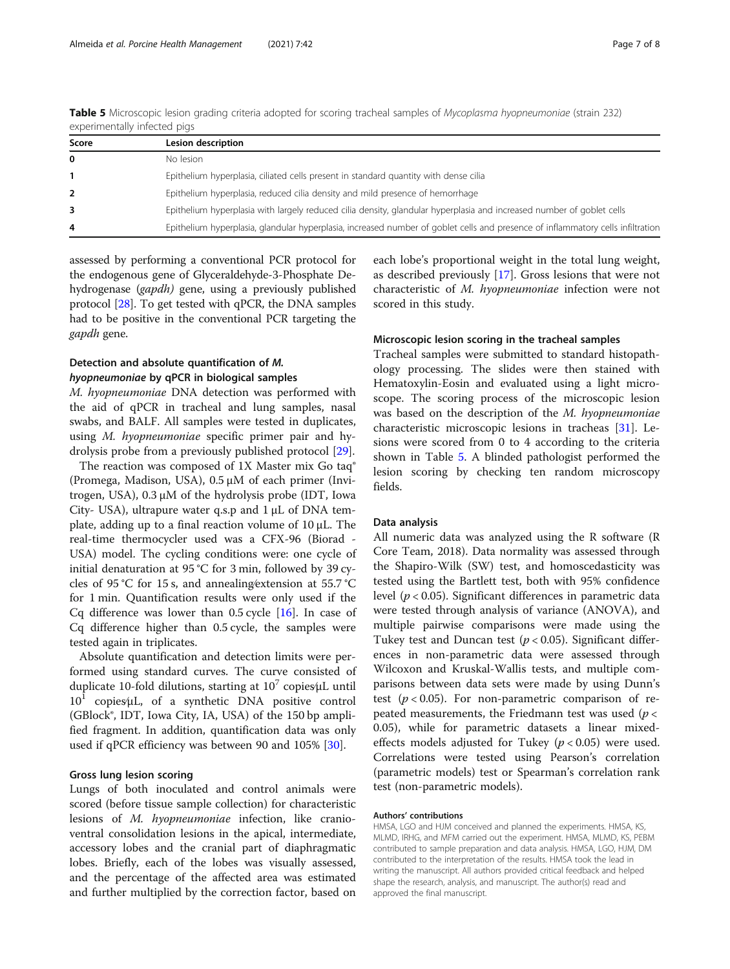| Score          | Lesion description                                                                                                              |
|----------------|---------------------------------------------------------------------------------------------------------------------------------|
| 0              | No lesion                                                                                                                       |
| $\mathbf{1}$   | Epithelium hyperplasia, ciliated cells present in standard quantity with dense cilia                                            |
| $\overline{2}$ | Epithelium hyperplasia, reduced cilia density and mild presence of hemorrhage                                                   |
|                | Epithelium hyperplasia with largely reduced cilia density, glandular hyperplasia and increased number of goblet cells           |
| 4              | Epithelium hyperplasia, glandular hyperplasia, increased number of goblet cells and presence of inflammatory cells infiltration |

Table 5 Microscopic lesion grading criteria adopted for scoring tracheal samples of Mycoplasma hyopneumoniae (strain 232) experimentally infected pigs

assessed by performing a conventional PCR protocol for the endogenous gene of Glyceraldehyde-3-Phosphate Dehydrogenase (gapdh) gene, using a previously published protocol [\[28](#page-7-0)]. To get tested with qPCR, the DNA samples had to be positive in the conventional PCR targeting the gapdh gene.

#### Detection and absolute quantification of M. hyopneumoniae by qPCR in biological samples

M. hyopneumoniae DNA detection was performed with the aid of qPCR in tracheal and lung samples, nasal swabs, and BALF. All samples were tested in duplicates, using M. hyopneumoniae specific primer pair and hydrolysis probe from a previously published protocol [[29](#page-7-0)].

The reaction was composed of 1X Master mix Go taq® (Promega, Madison, USA), 0.5 μM of each primer (Invitrogen, USA), 0.3 μM of the hydrolysis probe (IDT, Iowa City- USA), ultrapure water q.s.p and 1 μL of DNA template, adding up to a final reaction volume of 10 μL. The real-time thermocycler used was a CFX-96 (Biorad - USA) model. The cycling conditions were: one cycle of initial denaturation at 95 °C for 3 min, followed by 39 cycles of 95 °C for 15 s, and annealing∕extension at 55.7 °C for 1 min. Quantification results were only used if the Cq difference was lower than  $0.5$  cycle [\[16](#page-7-0)]. In case of Cq difference higher than 0.5 cycle, the samples were tested again in triplicates.

Absolute quantification and detection limits were performed using standard curves. The curve consisted of duplicate 10-fold dilutions, starting at  $10^7$  copies⁄μL until  $10<sup>1</sup>$  copies⁄μL, of a synthetic DNA positive control (GBlock®, IDT, Iowa City, IA, USA) of the 150 bp amplified fragment. In addition, quantification data was only used if qPCR efficiency was between 90 and  $105\%$  [\[30](#page-7-0)].

#### Gross lung lesion scoring

Lungs of both inoculated and control animals were scored (before tissue sample collection) for characteristic lesions of M. hyopneumoniae infection, like cranioventral consolidation lesions in the apical, intermediate, accessory lobes and the cranial part of diaphragmatic lobes. Briefly, each of the lobes was visually assessed, and the percentage of the affected area was estimated and further multiplied by the correction factor, based on

each lobe's proportional weight in the total lung weight, as described previously [\[17](#page-7-0)]. Gross lesions that were not characteristic of M. hyopneumoniae infection were not scored in this study.

#### Microscopic lesion scoring in the tracheal samples

Tracheal samples were submitted to standard histopathology processing. The slides were then stained with Hematoxylin-Eosin and evaluated using a light microscope. The scoring process of the microscopic lesion was based on the description of the M. hyopneumoniae characteristic microscopic lesions in tracheas [\[31\]](#page-7-0). Lesions were scored from 0 to 4 according to the criteria shown in Table 5. A blinded pathologist performed the lesion scoring by checking ten random microscopy fields.

#### Data analysis

All numeric data was analyzed using the R software (R Core Team, 2018). Data normality was assessed through the Shapiro-Wilk (SW) test, and homoscedasticity was tested using the Bartlett test, both with 95% confidence level ( $p < 0.05$ ). Significant differences in parametric data were tested through analysis of variance (ANOVA), and multiple pairwise comparisons were made using the Tukey test and Duncan test ( $p < 0.05$ ). Significant differences in non-parametric data were assessed through Wilcoxon and Kruskal-Wallis tests, and multiple comparisons between data sets were made by using Dunn's test  $(p < 0.05)$ . For non-parametric comparison of repeated measurements, the Friedmann test was used ( $p <$ 0.05), while for parametric datasets a linear mixedeffects models adjusted for Tukey ( $p < 0.05$ ) were used. Correlations were tested using Pearson's correlation (parametric models) test or Spearman's correlation rank test (non-parametric models).

#### Authors' contributions

HMSA, LGO and HJM conceived and planned the experiments. HMSA, KS, MLMD, IRHG, and MFM carried out the experiment. HMSA, MLMD, KS, PEBM contributed to sample preparation and data analysis. HMSA, LGO, HJM, DM contributed to the interpretation of the results. HMSA took the lead in writing the manuscript. All authors provided critical feedback and helped shape the research, analysis, and manuscript. The author(s) read and approved the final manuscript.